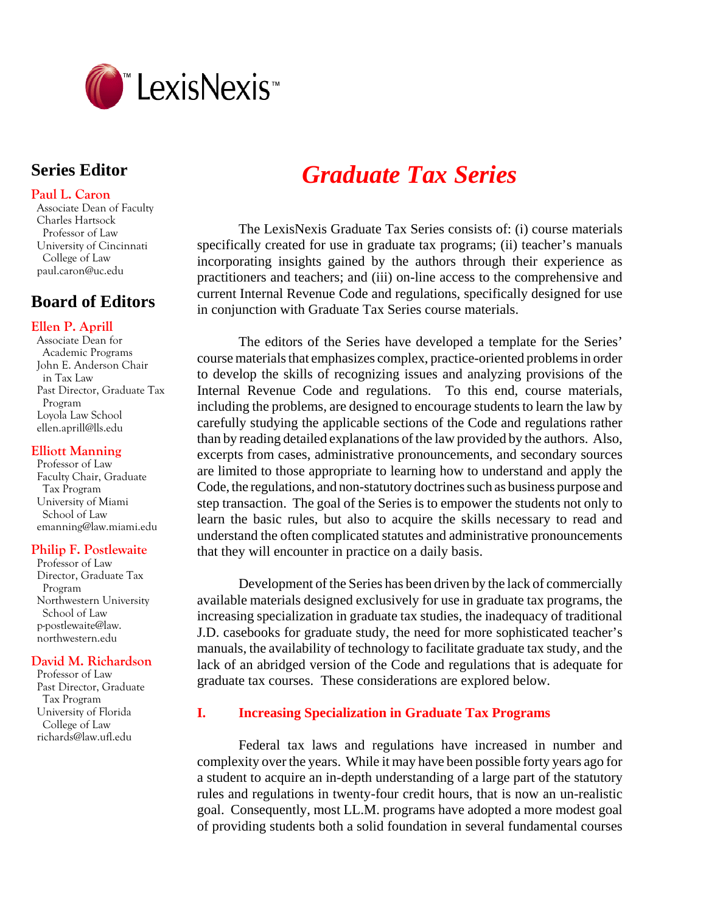

# **Series Editor**

#### **Paul L. Caron**

 Associate Dean of Faculty Charles Hartsock Professor of Law University of Cincinnati College of Law paul.caron@uc.edu

# **Board of Editors**

#### **Ellen P. Aprill**

 Associate Dean for Academic Programs John E. Anderson Chair in Tax Law Past Director, Graduate Tax Program Loyola Law School ellen.aprill@lls.edu

#### **Elliott Manning**

 Professor of Law Faculty Chair, Graduate Tax Program University of Miami School of Law emanning@law.miami.edu

#### **Philip F. Postlewaite**

 Professor of Law Director, Graduate Tax Program Northwestern University School of Law p-postlewaite@law. northwestern.edu

#### **David M. Richardson**

 Professor of Law Past Director, Graduate Tax Program University of Florida College of Law richards@law.ufl.edu

# *Graduate Tax Series*

The LexisNexis Graduate Tax Series consists of: (i) course materials specifically created for use in graduate tax programs; (ii) teacher's manuals incorporating insights gained by the authors through their experience as practitioners and teachers; and (iii) on-line access to the comprehensive and current Internal Revenue Code and regulations, specifically designed for use in conjunction with Graduate Tax Series course materials.

The editors of the Series have developed a template for the Series' course materials that emphasizes complex, practice-oriented problems in order to develop the skills of recognizing issues and analyzing provisions of the Internal Revenue Code and regulations. To this end, course materials, including the problems, are designed to encourage students to learn the law by carefully studying the applicable sections of the Code and regulations rather than by reading detailed explanations of the law provided by the authors. Also, excerpts from cases, administrative pronouncements, and secondary sources are limited to those appropriate to learning how to understand and apply the Code, the regulations, and non-statutory doctrines such as business purpose and step transaction. The goal of the Series is to empower the students not only to learn the basic rules, but also to acquire the skills necessary to read and understand the often complicated statutes and administrative pronouncements that they will encounter in practice on a daily basis.

Development of the Series has been driven by the lack of commercially available materials designed exclusively for use in graduate tax programs, the increasing specialization in graduate tax studies, the inadequacy of traditional J.D. casebooks for graduate study, the need for more sophisticated teacher's manuals, the availability of technology to facilitate graduate tax study, and the lack of an abridged version of the Code and regulations that is adequate for graduate tax courses. These considerations are explored below.

### **I. Increasing Specialization in Graduate Tax Programs**

Federal tax laws and regulations have increased in number and complexity over the years. While it may have been possible forty years ago for a student to acquire an in-depth understanding of a large part of the statutory rules and regulations in twenty-four credit hours, that is now an un-realistic goal. Consequently, most LL.M. programs have adopted a more modest goal of providing students both a solid foundation in several fundamental courses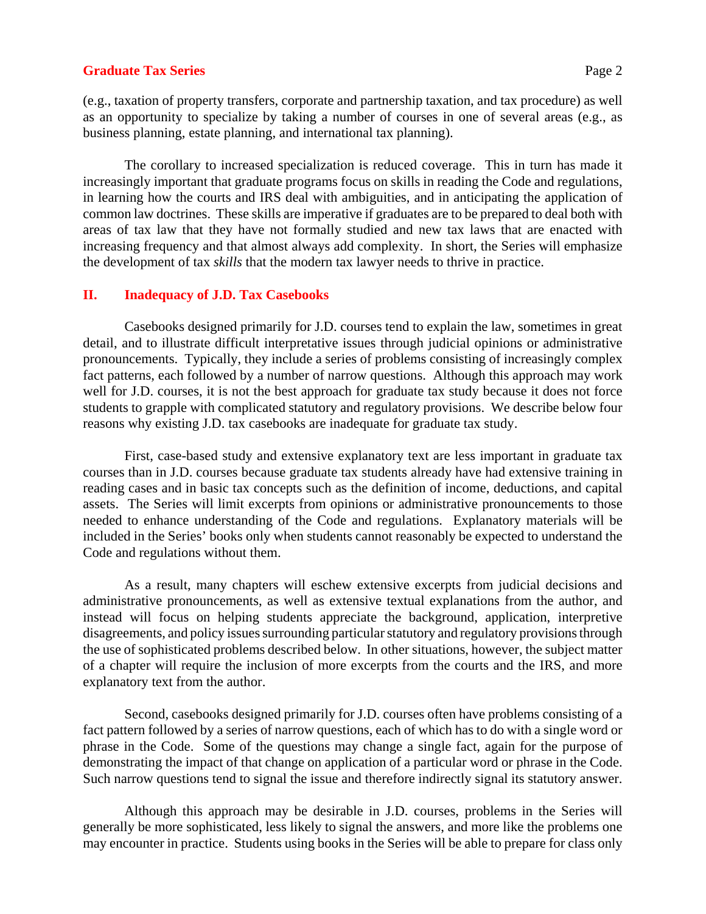#### **Graduate Tax Series** Page 2

(e.g., taxation of property transfers, corporate and partnership taxation, and tax procedure) as well as an opportunity to specialize by taking a number of courses in one of several areas (e.g., as business planning, estate planning, and international tax planning).

The corollary to increased specialization is reduced coverage. This in turn has made it increasingly important that graduate programs focus on skills in reading the Code and regulations, in learning how the courts and IRS deal with ambiguities, and in anticipating the application of common law doctrines. These skills are imperative if graduates are to be prepared to deal both with areas of tax law that they have not formally studied and new tax laws that are enacted with increasing frequency and that almost always add complexity. In short, the Series will emphasize the development of tax *skills* that the modern tax lawyer needs to thrive in practice.

#### **II. Inadequacy of J.D. Tax Casebooks**

Casebooks designed primarily for J.D. courses tend to explain the law, sometimes in great detail, and to illustrate difficult interpretative issues through judicial opinions or administrative pronouncements. Typically, they include a series of problems consisting of increasingly complex fact patterns, each followed by a number of narrow questions. Although this approach may work well for J.D. courses, it is not the best approach for graduate tax study because it does not force students to grapple with complicated statutory and regulatory provisions. We describe below four reasons why existing J.D. tax casebooks are inadequate for graduate tax study.

First, case-based study and extensive explanatory text are less important in graduate tax courses than in J.D. courses because graduate tax students already have had extensive training in reading cases and in basic tax concepts such as the definition of income, deductions, and capital assets. The Series will limit excerpts from opinions or administrative pronouncements to those needed to enhance understanding of the Code and regulations. Explanatory materials will be included in the Series' books only when students cannot reasonably be expected to understand the Code and regulations without them.

As a result, many chapters will eschew extensive excerpts from judicial decisions and administrative pronouncements, as well as extensive textual explanations from the author, and instead will focus on helping students appreciate the background, application, interpretive disagreements, and policy issues surrounding particular statutory and regulatory provisions through the use of sophisticated problems described below. In other situations, however, the subject matter of a chapter will require the inclusion of more excerpts from the courts and the IRS, and more explanatory text from the author.

Second, casebooks designed primarily for J.D. courses often have problems consisting of a fact pattern followed by a series of narrow questions, each of which has to do with a single word or phrase in the Code. Some of the questions may change a single fact, again for the purpose of demonstrating the impact of that change on application of a particular word or phrase in the Code. Such narrow questions tend to signal the issue and therefore indirectly signal its statutory answer.

Although this approach may be desirable in J.D. courses, problems in the Series will generally be more sophisticated, less likely to signal the answers, and more like the problems one may encounter in practice. Students using books in the Series will be able to prepare for class only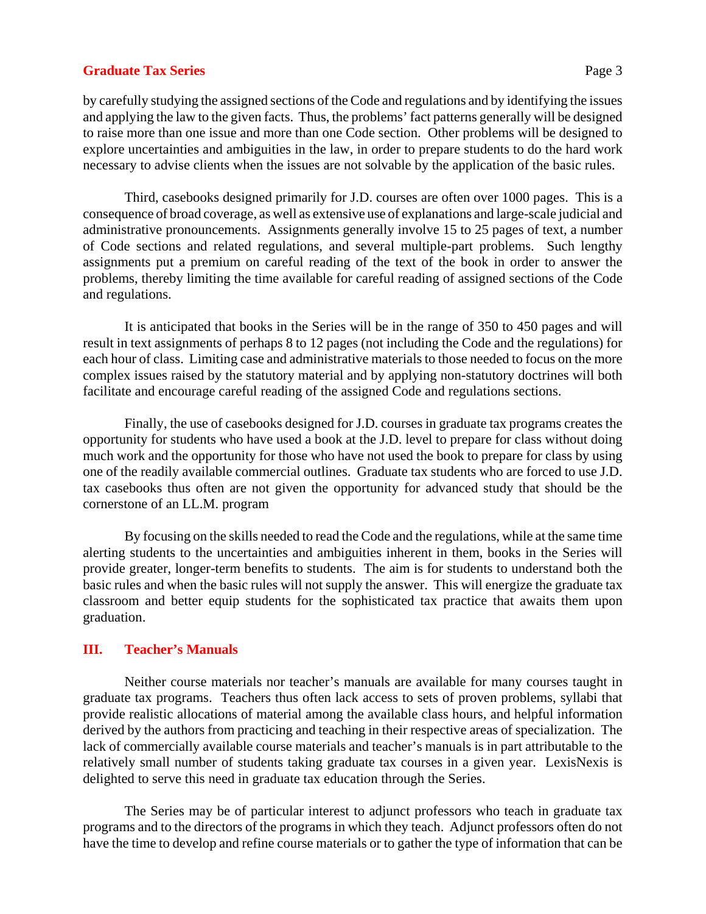#### **Graduate Tax Series Page 3 Page 3**

by carefully studying the assigned sections of the Code and regulations and by identifying the issues and applying the law to the given facts. Thus, the problems' fact patterns generally will be designed to raise more than one issue and more than one Code section. Other problems will be designed to explore uncertainties and ambiguities in the law, in order to prepare students to do the hard work necessary to advise clients when the issues are not solvable by the application of the basic rules.

Third, casebooks designed primarily for J.D. courses are often over 1000 pages. This is a consequence of broad coverage, as well as extensive use of explanations and large-scale judicial and administrative pronouncements. Assignments generally involve 15 to 25 pages of text, a number of Code sections and related regulations, and several multiple-part problems. Such lengthy assignments put a premium on careful reading of the text of the book in order to answer the problems, thereby limiting the time available for careful reading of assigned sections of the Code and regulations.

It is anticipated that books in the Series will be in the range of 350 to 450 pages and will result in text assignments of perhaps 8 to 12 pages (not including the Code and the regulations) for each hour of class. Limiting case and administrative materials to those needed to focus on the more complex issues raised by the statutory material and by applying non-statutory doctrines will both facilitate and encourage careful reading of the assigned Code and regulations sections.

Finally, the use of casebooks designed for J.D. courses in graduate tax programs creates the opportunity for students who have used a book at the J.D. level to prepare for class without doing much work and the opportunity for those who have not used the book to prepare for class by using one of the readily available commercial outlines. Graduate tax students who are forced to use J.D. tax casebooks thus often are not given the opportunity for advanced study that should be the cornerstone of an LL.M. program

By focusing on the skills needed to read the Code and the regulations, while at the same time alerting students to the uncertainties and ambiguities inherent in them, books in the Series will provide greater, longer-term benefits to students. The aim is for students to understand both the basic rules and when the basic rules will not supply the answer. This will energize the graduate tax classroom and better equip students for the sophisticated tax practice that awaits them upon graduation.

#### **III. Teacher's Manuals**

Neither course materials nor teacher's manuals are available for many courses taught in graduate tax programs. Teachers thus often lack access to sets of proven problems, syllabi that provide realistic allocations of material among the available class hours, and helpful information derived by the authors from practicing and teaching in their respective areas of specialization. The lack of commercially available course materials and teacher's manuals is in part attributable to the relatively small number of students taking graduate tax courses in a given year. LexisNexis is delighted to serve this need in graduate tax education through the Series.

The Series may be of particular interest to adjunct professors who teach in graduate tax programs and to the directors of the programs in which they teach. Adjunct professors often do not have the time to develop and refine course materials or to gather the type of information that can be